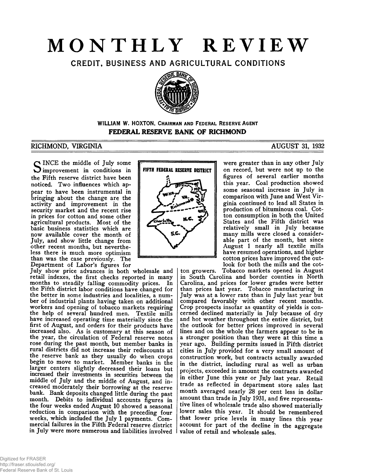# **MONTHLY REVIEW**

CREDIT, BUSINESS AND AGRICULTURAL CONDITIONS



# **WILLIAM W. HOXTON, CHAIRMAN AND FEDERAL RESERVE AGENT FEDERAL RESERVE BANK OF RICHMOND**

# RICHMOND, VIRGINIA AUGUST 31, 1932

INCE the middle of July some  $\sum$  improvement in conditions in the Fifth reserve district have been noticed. Two influences which appear to have been instrumental in bringing about the change are the activity and improvement in the security market and the recent rise in prices for cotton and some other agricultural products. Most of the basic business statistics which are now available cover the month of July, and show little change from other recent months, but nevertheless there is much more optimism than was the case previously. The Department of Labor's figures for

July show price advances in both wholesale and retail indexes, the first checks reported in many months to steadily falling commodity prices. In the Fifth district labor conditions have changed for the better in some industries and localities, a number of industrial plants having taken on additional workers and opening of tobacco markets requiring the help of several hundred men. Textile mills have increased operating time materially since the first of August, and orders for their products have increased also. As is customary at this season of the year, the circulation of Federal reserve notes rose during the past month, but member banks in rural districts did not increase their rediscounts at the reserve bank as they usually do when crops begin to move to market. Member banks in the larger centers slightly decreased their loans but increased their investments in securities between the middle of July and the middle of August, and increased moderately their borrowing at the reserve bank. Bank deposits changed little during the past month. Debits to individual accounts figures in the four weeks ended August 10 showed a seasonal reduction in comparison with the preceding four weeks, which included the July 1 payments. Commercial failures in the Fifth Federal reserve district in July were more numerous and liabilities involved

# FIFTH FEDERAL RESERVE DISTRICT

were greater than in any other July on record, but were not up to the figures of several earlier months this year. Coal production showed some seasonal increase in July in comparison with June and West Virginia continued to lead all States in production of bituminous coal. Cotton consumption in both the United States and the Fifth district was relatively small in July because many mills were closed a considerable part of the month, but since August 1 nearly all textile mills have resumed operations, and higher cotton prices have improved the outlook for both the mills and the cot-

ton growers. Tobacco markets opened in August in South Carolina and border counties in North Carolina, and prices for lower grades were better than prices last year. Tobacco manufacturing in July was at a lower rate than in July last year but compared favorably with other recent months. Crop prospects insofar as quantity of yields is concerned declined materially in July because of dry and hot weather throughout the entire district, but the outlook for better prices improved in several lines and on the whole the farmers appear to be in a stronger position than they were at this time a year ago. Building permits issued in Fifth district cities in July provided for a very small amount of construction work, but contracts actually awarded in the district, including rural as well as urban projects, exceeded in amount the contracts awarded in either June this year or July last year. Retail trade as reflected in department store sales last month averaged nearly 28 per cent less in dollar amount than trade in July 1931, and five representative lines of wholesale trade also showed materially lower sales this year. It should be remembered that lower price levels in many lines this year account for part of the decline in the aggregate value of retail and wholesale sales.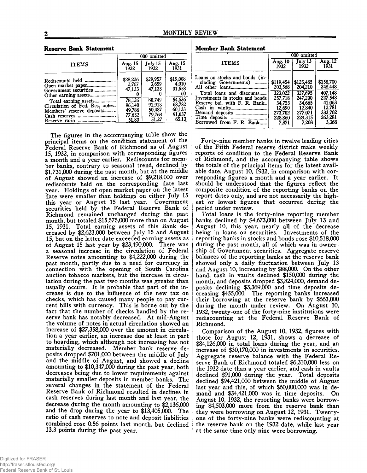# Digitized for FRASER http://fraser.stlouisfed.org/ Federal Reserve Bank of St. Louis

|                                                                                                                                                                                                                                       | 000 omitted                                                                  |                                                                              |                                                                                    |
|---------------------------------------------------------------------------------------------------------------------------------------------------------------------------------------------------------------------------------------|------------------------------------------------------------------------------|------------------------------------------------------------------------------|------------------------------------------------------------------------------------|
| <b>ITEMS</b>                                                                                                                                                                                                                          | Aug. 15<br>1932                                                              | July 15<br>1932                                                              | Aug. 15<br>1931                                                                    |
| Rediscounts held<br>----------------<br>Government securities<br>Other earning assets<br>---------------<br>Total earning assets<br>Circulation of Fed. Res. notes<br>Members' reserve deposits<br>Cash reserves<br>Reserve ratio<br> | \$28,226<br>2,767<br>47.133<br>78,126<br>96.140<br>49.786<br>77.632<br>51.83 | \$29,957<br>3,659<br>47,133<br>80.749<br>91.918<br>50.487<br>79.768<br>51.27 | \$19,008<br>4,010<br>31,558<br>60<br>54,636<br>68.782<br>60,133<br>91,037<br>65.13 |

The figures in the accompanying table show the principal items on the condition statement of the Federal Reserve Bank of Richmond as of August 15, 1932, in comparison with corresponding figures a month and a year earlier. Rediscounts for member banks, contrary to seasonal trend, declined by \$1,731,000 during the past month, but at the middle of August showed an increase of \$9,218,000 over rediscounts held on the corresponding date last year. Holdings of open market paper on the latest date were smaller than holdings on either July 15 this year or August 15 last year. Government securities held by the Federal Reserve Bank of Richmond remained unchanged during the past month, but totaled \$15,575,000 more than on August 15, 1931. Total earning assets of this Bank decreased by \$2,623,000 between July 15 and August 15, but on the latter date exceeded earning assets as of August 15 last year by \$23,490,000. There was a seasonal increase in the circulation of Federal Reserve notes amounting to \$4,222,000 during the past month, partly due to a need for currency in connection with the opening of South Carolina auction tobacco markets, but the increase in circulation during the past two months was greater than usually occurs. It is probable that part of the increase is due to the influence of the new tax on checks, which has caused many people to pay current bills with currency. This is borne out by the fact that the number of checks handled by the reserve bank has notably decreased. At mid-August the volume of notes in actual circulation showed an increase of \$27,358,000 over the amount in circulation a year earlier, an increase due at least in part to hoarding, which although not increasing has not materially decreased. Member bank reserve deposits dropped \$701,000 between the middle of July and the middle of August, and showed a decline amounting to \$10,347,000 during the past year, both decreases being due to lower requirements against materially smaller deposits in member banks. The several changes in the statement of the Federal Reserve Bank of Richmond resulted in declines in cash reserves during last month and last year, the decrease during the month amounting to \$2,136,000 and the drop during the year to \$13,405,000. The ratio of cash reserves to note and deposit liabilities combined rose 0.56 points last month, but declined 13.3 points during the past year.

**Member Bank Statement**

|                                                                                                                                                                                     | 000 omitted                                                                                   |                                                                                               |                                                                                               |
|-------------------------------------------------------------------------------------------------------------------------------------------------------------------------------------|-----------------------------------------------------------------------------------------------|-----------------------------------------------------------------------------------------------|-----------------------------------------------------------------------------------------------|
| ITEMS                                                                                                                                                                               | Aug. 10<br>1932                                                                               | July 13<br>1932                                                                               | Aug. $12$<br>1931                                                                             |
| Loans on stocks and bonds (in-<br>cluding Governments)<br>Total loans and discounts<br>Investments in stocks and bonds<br>Reserve bal. with F. R. Bank.<br>Borrowed from F. R. Bank | \$119,454<br>203,568<br>323,022<br>257,718<br>34,753<br>12,690<br>273,702<br>228,860<br>7.871 | \$123,485<br>204,210<br>327,695<br>247.200<br>34.665<br>12,840<br>277,071<br>229,315<br>7.208 | \$158,700<br>248,448<br>407.148<br>227,548<br>41.063<br>12,781<br>333,702<br>263,281<br>3.368 |

Forty-nine member banks in twelve leading cities of the Fifth Federal reserve district make weekly reports of condition to the Federal Reserve Bank of Richmond, and the accompanying table shows the totals of the principal items for the latest available date, August 10, 1932, in comparison with corresponding figures a month and a year earlier. It should be understood that the figures reflect the composite condition of the reporting banks on the report dates only, and are not necessarily the highest or lowest figures that occurred during the period under review.

Total loans is the forty-nine reporting member banks declined by \$4,673,000 between July 13 and August 10, this year, nearly all of the decrease being in loans on securities. Investments of the reporting banks in stocks and bonds rose \$10,518,000 during the past month, all of which was in ownership of Government securities. Aggregate reserve balances of the reporting banks at the reserve bank showed only a daily fluctuation between July 13 and August 10, increasing by \$88,000. On the other hand, cash in vaults declined \$150,000 during the month, and deposits dropped \$3,824,000, demand deposits declining \$3,369,000 and time deposits decreasing \$455,000. The reporting banks increased their borrowing at the reserve bank by \$663,000 duiing the month under review. On August 10, 1932, twenty-one of the forty-nine institutions were rediscounting at the Federal Reserve Bank of Richmond.

Comparison of the August 10, 1932, figures with those for August 12, 1931, shows a decrease of \$84,126,000 in total loans during the year, and an increase of \$30,170,000 in investments in securities. Aggregate reserve balance with the Federal Reserve Bank of Richmond totaled \$6,310,000 less on the 1932 date than a year earlier, and cash in vaults declined \$91,000 during the year. Total deposits declined \$94,421,000 between the middle of August last year and this, of which \$60,000,000 was in demand and \$34,421,000 was in time deposits. On August 10, 1932, the reporting banks were borrowing \$4,503,000 more from the reserve bank than they were borrowing on August 12, 1931. Twentyone of the forty-nine banks were rediscounting at the reserve bank on the 1932 date, while last year at the same time only nine were borrowing.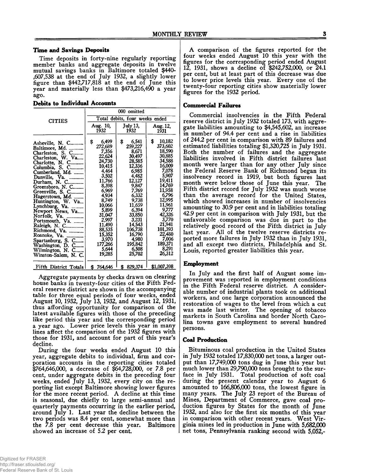#### **Time and Savings Deposits**

Time deposits in forty-nine regularly reporting member banks and aggregate deposits in twelve mutual savings banks in Baltimore totaled \$440- ,607,538 at the end of July 1932, a slightly lower figure than \$442,717,818 at the end of June this year and materially less than \$473,216,490 a year ago.

**Debits to Individual Accounts**

|                                                                                                                                                                                                                                                                                                                                                                                                                                                                     | 000 omitted                                                                                                                                                                                                                              |                                                                                                                                                                                                                                           |                                                                                                                                                                                                                                                |  |
|---------------------------------------------------------------------------------------------------------------------------------------------------------------------------------------------------------------------------------------------------------------------------------------------------------------------------------------------------------------------------------------------------------------------------------------------------------------------|------------------------------------------------------------------------------------------------------------------------------------------------------------------------------------------------------------------------------------------|-------------------------------------------------------------------------------------------------------------------------------------------------------------------------------------------------------------------------------------------|------------------------------------------------------------------------------------------------------------------------------------------------------------------------------------------------------------------------------------------------|--|
| <b>CITIES</b>                                                                                                                                                                                                                                                                                                                                                                                                                                                       | Total debits, four weeks ended                                                                                                                                                                                                           |                                                                                                                                                                                                                                           |                                                                                                                                                                                                                                                |  |
|                                                                                                                                                                                                                                                                                                                                                                                                                                                                     | Aug. 10,<br>1932                                                                                                                                                                                                                         | July 13,<br>1932                                                                                                                                                                                                                          | Aug. 12,<br>1931                                                                                                                                                                                                                               |  |
| Asheville, N. C<br>Baltimore, Md.<br>Charleston, S. C<br>Charleston, W. Va<br>Charlotte, N. C<br>Columbia, S. C<br>Cumberland, Md.<br>Danville, Va.<br>Durham, N. C<br>Greensboro, N. C<br>Greenville, S. C<br>Hagerstown, Md.<br>Huntington, W. Va<br>Lynchburg, Va.<br>Newport News, Va<br>Norfolk, Va.<br>Portsmouth, Va.<br>Raleigh, N. C<br>Richmond, Va.<br>Roanoke, Va.<br>Spartanburg, S. C<br>Washington, D. C<br>Wilmington, N. C<br>Winston-Salem, N. C. | \$<br>6,499<br>272,689<br>7,356<br>22,624<br>24,730<br>10,415<br>4,464<br>3,502<br>11,766<br>8,398<br>6,969<br>4,934<br>8,749<br>10,066<br>5,899<br>31,047<br>2,997<br>11,490<br>88,535<br>15,352<br>3,970<br>177,266<br>5.644<br>19,285 | \$<br>6,541<br>259,227<br>8,671<br>30,497<br>28,585<br>12,336<br>6,985<br>4,482<br>12,127<br>9,847<br>7,769<br>6,332<br>9,738<br>11,659<br>6,394<br>33,850<br>3,231<br>14,543<br>106,738<br>16,790<br>4,980<br>195,842<br>6,508<br>25,702 | \$<br>10,182<br>373,602<br>18,590<br>30,885<br>34,588<br>16,009<br>7,078<br>5,907<br>19,411<br>14,769<br>11,958<br>6,796<br>12,995<br>11,961<br>9,777<br>42,326<br>3,770<br>21,941<br>101,393<br>22,480<br>7,006<br>189,371<br>8,291<br>26,312 |  |
| Fifth District Totals                                                                                                                                                                                                                                                                                                                                                                                                                                               | Ŝ.<br>764,646                                                                                                                                                                                                                            | 829,374<br>\$                                                                                                                                                                                                                             | \$1,007,398                                                                                                                                                                                                                                    |  |

Aggregate payments by checks drawn on clearing house banks in twenty-four cities of the Fifth Federal reserve district are shown in the accompanying table for three equal periods of four weeks, ended August 10, 1932, July 13, 1932, and August 12, 1931, thus affording opportunity for comparison of the latest available figures with those of the preceding like period this year and the corresponding period a year ago. Lower price levels this year in many lines affect the comparison of the 1932 figures with those for 1931, and account for part of this year's decline.

During the four weeks ended August 10 this year, aggregate debits to individual, firm and corporation accounts in the reporting cities totaled \$764,646,000, a decrease of \$64,728,000, or 7.8 per cent, under aggregate debits in the preceding four weeks, ended July 13, 1932, every city on the reporting list except Baltimore showing lower figures for the more recent period. A decline at this time is seasonal, due chiefly to large semi-annual and quarterly payments occurring in the earlier period, around July 1. Last year the decline between the two periods was 8.4 per cent, somewhat more than the 7.8 per cent decrease this year. Baltimore showed an increase of 5.2 per cent.

A comparison of the figures reported for the four weeks ended August 10 this year with the figures for the corresponding period ended August 12, 1931, shows a decline of \$242,752,000, or 24.1 per cent, but at least part of this decrease was due to lower price levels this year. Every one of the twenty-four reporting cities show materially lower figures for the 1932 period.

#### **Commercial Failures**

Commercial insolvencies in the Fifth Federal reserve district in July 1932 totaled 173, with aggregate liabilities amounting to \$4,545,602, an increase in number of 94.4 per cent and a rise in liabilities of 244.2 per cent in comparison with 89 failures and estimated liabilities totaling \$1,320,725 in July 1931. Both the number of failures and the aggregate liabilities involved in Fifth district failures last month were larger than for any other July since the Federal Reserve Bank of Richmond began its insolvency record in 1919, but both figures last month were below those of June this year. The Fifth district record for July 1932 was much worse than the average record for the United States, which showed increases in number of insolvencies amounting to 30.9 per cent and in liabilities totaling 42.9 per cent in comparison with July 1931, but the unfavorable comparison was due in part to the relatively good record of the Fifth district in July last year. All of the twelve reserve districts reported more failures in July 1932 than in July 1931, and all except two districts, Philadelphia and St. Louis, reported greater liabilities this year.

#### **Employment**

In July and the first half of August some improvement was reported in employment conditions in the Fifth Federal reserve district. A considerable number of industrial plants took on additional workers, and one large corporation announced the restoration of wages to the level from which a cut was made last winter. The opening of tobacco markets in South Carolina and border North Carolina towns gave employment to several hundred persons.

# **Coal Production**

Bituminous coal production in the United States in July 1932 totaled 17,830,000 net tons, a larger output than 17,749,000 tons dug in June this year but much lower than 29,790,000 tons brought to the surface in July 1931. Total production of soft coal during the present calendar year to August 6 amounted to 166,806,000 tons, the lowest figure in many years. The July 23 report of the Bureau of Mines, Department of Commerce, gave coal production figures by States for the month of June 1932, and also for the first six months of this year in comparison with other recent years. West Virginia mines led in production in June with 5,682,000 net tons, Pennsylvania ranking second with 5,052,-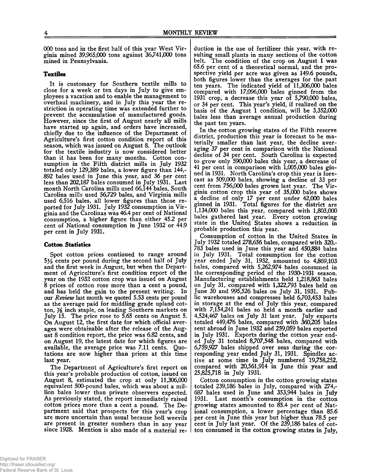000 tons and in the first half of this year West Virginia mined 39,965,000 tons against 36,741,000 tons mined in Pennsylvania.

# **Textiles**

It is customary for Southern textile mills to close for a week or ten days in July to give employees a vacation and to enable the management to overhaul machinery, and in July this year the restriction in operating time was extended further to prevent the accumulation of manufactured goods. However, since the first of August nearly all mills have started up again, and orders have increased, chiefly due to the influence of the Department of Agriculture's first cotton condition report of this season, which was issued on August 8. The outlook for the textile industry is now considered better than it has been for many months. Cotton consumption in the Fifth district mills in July 1932 totaled only 129,389 bales, a lower figure than 144,- 892 bales used in June this year, and 36 per cent less than 202,187 bales consumed in July 1931. Last month North Carolina mills used 66,144 bales, South Carolina mills used 56,729 bales, and Virginia mills used 6,516 bales, all lower figures than those reported for July 1931. July 1932 consumption in Virginia and the Carolinas was 46.4 per cent of National consumption, a higher figure than either 45.2 per cent of National consumption in June 1932 or 44.9 per cent in July 1931.

# **Cotton Statistics**

Spot cotton prices continued to range around 5*y2* cents per pound during the second half of July and the first week in August, but when the Department of Agriculture's first condition report of the year on the 1932 cotton crop was issued on August 8 prices of cotton rose more than a cent a pound, and has held the gain to the present writing. In our *Review* last month we quoted 5.53 cents per pound as the average paid for middling grade upland cotton, *%* inch staple, on leading Southern markets on July 15. The price rose to 5.65 cents on August 5. On August 12, the first date for which official averages were obtainable after the release of the August 8 condition report, the price was 6.82 cents, and on August 19, the latest date for which figures are available, the average price was 7.11 cents. Quotations are now higher than prices at this time last year.

The Department of Agriculture's first report on this year's probable production of cotton, issued on August 8, estimated the crop at only 11,306,000 equivalent 500-pound bales, which was about a million bales lower than private observers expected. As previously stated, the report immediately raised cotton prices more than a cent a pound. The Department said that prospects for this year's crop are more uncertain than usual because boll weevils are present in greater numbers than in any year since 1928. Mention is also made of a material re-

duction in the use of fertilizer this year, with resulting small plants in many sections of the cotton belt. The condition of the crop on August 1 was 65.6 per cent of a theoretical normal, and the prospective yield per acre was given as 149.6 pounds, both figures lower than the averages for the past ten years. The indicated yield of 11,306,000 bales compared with 17,096,000 bales ginned from the 1931 crop, a decrease this year of 5,790,000 bales, or 34 per cent. This year's yield, if realized on the basis of the August 1 condition, will be 3,352,000 bales less than average annual production during the past ten years.

In the cotton growing states of the Fifth reserve district, production this year is forecast to be materially smaller than last year, the decline averaging 37 per cent in comparison with the National decline of 34 per cent. South Carolina is expected to grow only 590,000 bales this year, a decrease of 41 per cent in comparison with 1,005,000 bales ginned in 1931. North Carolina's crop this year is forecast as 509,000 bales, showing a decline of 33 per cent from 756,000 bales grown last year. The Virginia cotton crop this year of 35,000 bales shows a decline of only 17 per cent under 42,000 bales ginned in 1931. Total figures for the district are  $1,134,000$  bales this year, compared with  $1,803,000$ bales gathered last year. Every cotton growing state in the United States shows a reduction in probable production this year.

Consumption of cotton in the United States in July 1932 totaled 278,656 bales, compared with 320,- 783 bales used in June this year and 450,884 bales in July 1931. Total consumption for the cotton year ended July 31, 1932, amounted to 4,869,103 bales, compared with 5,262,974 bales consumed in the corresponding period of the 1930-1931 season. Manufacturing establishments held 1,218,863 bales on July 31, compared with 1,322,793 bales held on June 30 and 995,526 bales on July 31, 1931. Public warehouses and compresses held 6,703,453 bales in storage at the end of July this year, compared with 7,154,241 bales so held a month earlier and 4,524,467 bales on July 31 last year. July exports totaled 449,476 bales, compared with 360,205 bales sent abroad in June 1932 and 259,059 bales exported in July 1931. Exports during the cotton year ended July 31 totaled 8,707,548 bales, compared with 6,759,927 bales shipped over seas during the corresponding year ended July 31, 1931. Spindles active at some time in July numbered 19,758,252, compared with 20,561,914 in June this year and 25,825,718 in July 1931.

Cotton consumption in the cotton growing states totaled 239,186 bales in July, compared with 274,- 687 bales used in June and 353,944 bales in July 1931. Last month's consumption in the cotton growing states amounted to 85.4 per cent of National consumption, a lower percentage than 85.6 per cent in June this year but higher than 78.5 per cent in July last year. Of the 239,186 bales of cotton consumed in the cotton growing states in July,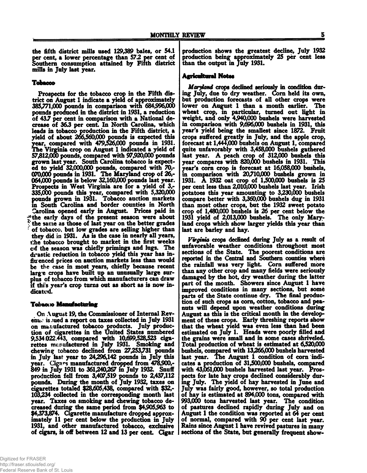**the fifth district mills used 129,389 bales, or 54.1 per cent, a lower percentage than** *572* **per cent of Southern consumption attained by Fifth district mills in July last year.**

# **Tobacco**

**Prospects for the tobacco crop in the Fifth district on August 1 indicate a yield of approximately 385.771.000 pounds in comparison with 684,996,000 pounds produced in the district in 1931, a reduction of 43.7 per cent in comparison with a National decrease of 3&3 per cent. In North Carolina, which leads in tobacco production in the Fifth district, a** yield of about 266,560,000 pounds is expected this **year, compared with 479,526,000 pounds in 1931. The Virginia crop on August 1 indicated a yield of 57.812.000 pounds, compared with 97,920,000 pounds grown last year. South Carolina tobacco is expected to yield 32,000,000 pounds, compared with 70,- 070.000 pounds in 1931. The Maryland crop of 26,- 064.000 pounds is below 32,160,000 pounds last year. Prospects in West Virginia are for a yield of 3,- 335.000 pounds this year, compared with 5,320,000 pounds grown in 1931. Tobacco auction markets m South Carolina and border counties in North Carolina opened early in August. Prices paid in ^'the early days of the present season were about the same as those of last year on the better grades : of tobacco, but low grades are selling higher than they did in 1931. As is the case in nearly all years, t;he tobacco brought to market in the first weeks** c<sub>of</sub> the season was chiefly primings and lugs. The **drastic reduction in tobacco yield this year has influenced prices on auction markets less than would be the case in most years, chiefly because recent larg e crops have built up an unusually large surplus of tobacco from which manufacturers can draw** if this year's crop turns out as short as is now in**dicated.**

# **Tobacco Manufacturing**

**On August 19, the Commissioner of Internal Revenuce is sued a report on taxes collected in July 1931** on matufactured tobacco products. July produc**tion** *of* **cigarettes in the United States numbered 9,534.022.443, compared with 10,699,528^523 cigarettes mupufactured in July 1931. Smoking and chewing tobacco declined from 27,253,731 pounds in July last year to 24,296,142 pounds in July this year. Cigars manufactured dropped from 478^00,- 849 in July 1931 to 361,240,267 in July 1932. Snuff production fell from 3,407,519 pounds to 2,437,112 pounds. During the month of July 1932, taxes on cigarettes totaled \$28,605,438, compared with \$32,- 103,234 collected in the corresponding month last year. Taxes on smoking and chewing tobacco de**creased during the same period from \$4,905,963 to **\$4,373,874. Cigarette manufacture dropped approximately 11 per cent below the production in July 1931, and other manufactured tobacco, exclusive** of cigars, is off between 12 and 13 per cent. Cigar **production shows the greatest decline, July 1932 production being approximately 25 per cent less than the output in July 1931.**

# **Agricultural Notes**

*Maryland* **crops declined seriously in condition during July, due to dry weather. Corn held its own, but production forecasts of all other crops were lower on August 1 than a month earlier. The wheat crop, in particular, turned out light in weight, and only 4,940,000 bushels were harvested in comparison with 9,696,000 bushels in 1931, this year's yield being the smallest since 1872. Fruit crops suffered ereatly in July, and the apple crop, forecast at 1,444,000 bushels on August 1, compared quite unfavorably with 3,458,000 bushels gathered last year. A peach crop of 312,000 bushels this year compares with 820,000 bushels in 1931. This year's corn crop is forecast at 16,058,000 bushels, in comparison with 20,710,000 bushels grown in 1931. A 1932 oat crop of 1,500,000 bushels is 25 per cent less than 2,010,000 bushels last year. Irish potatoes this year amounting to 3,230,000 bushels compare better with 3,360,000 bushels dug in 1931 than most other crops, but the 1932 sweet potato crop of 1,480,000 bushels is 26 per cent below the 1931 yield of 2,013,000 bushels. The only Maryland crops which show larger yields this year than last are barley and hay.**

*Virginia* **crops declined during July as a result of unfavorable weather conditions throughout most sections of the State. The poorest conditions are reported in the Central and Southern counties where the rainfall was very light. Corn suffered more than any other crop and many fields were seriously damaged by the hot, dry weather during the latter part of the month. Showers since August 1 have improved conditions in many sections, but some parts of the State continue dry. The final production of such crops as corn, cotton, tobacco and peanuts will depend upon weather conditions during August as this is the critical month in the development of these crops. Early threshing reports show that the wheat yield was even less than had been estimated on July 1. Heads were poorly filled and the grains were small and in some cases shriveled. Total production of wheat is estimated at 6,520,000 bushels, compared with 13,266,000 bushels harvested last year. The August 1 condition of com indicates a production of 31,500,000 bushels, compared with 43,061,000 bushels harvested last year. Prospects for late hay crops declined considerably during July. The yield of hay harvested in June and July was fairly good, however, so total production of hay is estimated at 894,000 tons, compared with 993,000 tons harvested last year. The condition of pastures declined rapidly during July and on August 1 the condition was reported at 64 per cent of normal, compared with 90 per cent last year. Rains since August 1 have revived pastures in many sections of the State, but generally frequent show-**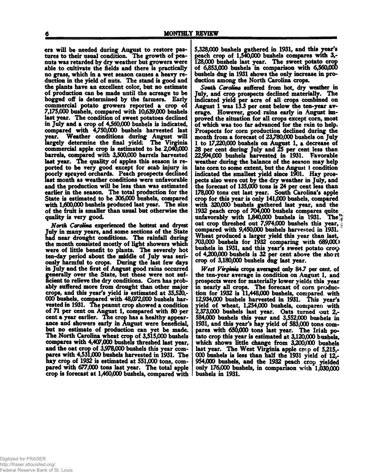**era will be needed daring August to restore pastures to their usual condition. The growth of peanuts was retarded by dry weather but growers were able to cultivate the fields and there is practically no grass, which in a wet season causes a heavy reduction in the yield of nuts. The stand is good and the plants have an excellent color, but no estimate of production can be made until the acreage to be hogged off is determined by the farmers. Early commercial potato growers reported a crop of 7,175,000 bushels, compared with 10,639,000 bushels last year. The condition of sweet potatoes declined in July and a crop of 4,560,000 bushels is indicated, compared with 4,750,000 bushels harvested last year. Weather conditions during August will largely determine the final yield; The Virginia commercial apple crop is estimated to be 2,040,000 barrels, compared with 3,500,000 barrels harvested last year. The quality of apples this season is reported to be very good except for scab injury in poorly sprayed orchards. Peach prospects declined last month as weather conditions were unfavorable** and the production will be less than was estimated **earlier in the season. The total production for the State is estimated to be 306,000 bushels, compared with 1,600,000 bushels produced last year. The size of the fruit is smaller than usual but otherwise the quality is very good.**

*North Carolina* **experienced the hottest and dryest July in many years, and some sections of the State had near drought conditions. The rainfall during the month consisted mostly of light showers which were of little benefit to plants. The severely hot ten-day period about the middle of July was seriously harmful to crops. During the last few days in July and the first of August good rains occurred generally over the State, but these were not sufficient to relieve the dry conditions. Corn has probably suffered more from drought than other major crops, and this year's yield is estimated at 35,520,- 000 bushels, compared with 48,072,000 bushels harvested in 1931. The peanut crop showed a condition of 71 per cent on August 1, compared with 80 per cent a year earlier. The crop has a healthy appearance and showers early in** August **were beneficial, but no estimate of production can yet be made. The North Carolina wheat crop of 3,515,000** bushels **compares with 4,407,000 bushels threshed last year, and the oat crop of 3,978,000 bushels this year compares with 4,531,000 bushels harvested in 1931. The hay crop of 1932 is estimated at 551,000 tons, compared with 677,000 tons last year. The total apple crop is forecast at 1,460,000 bushels, compared with** **5.328.000 bushels gathered in 1931, and this year's peach crop of 1,540,000 bushels compares with 3,- 128.000 bushels last year. The sweet potato crop of 6,853,000 bushels in comparison with 6,560,000 bushels dug in 1931 shows the only increase in production among the North Carolina crops.**

*South Carolina* **suffered from hot, dry weather in July, and crop prospects declined materially. The indicated yield per acre of all crops combined on August 1 was 13.3 per cent below the ten-year average. However, good rains early in August improved the situation for all crops except corn, most of which was too far advanced for the rain to help. Prospects for corn production declined during the month from a forecast of 23,780,000 bushels on July 1 to 17,220,000 bushels on August 1, a decrease of 28 per cent during July and 25 per cent less than 22.994.000 bushels harvested in 1931. Favorable weather during the balance of the season may help late corn to some extent, but the August 1 condition indicated the smallest yield since ISOl. Hay prospects also were cut by the dry weather in July, and the forecast of 135,000 tons is 24 per cent less than 178.000 tons cut last year. South Carolina's apple crop for this year is only 141,000 bushels, compared with 320,000 bushels gathered last year, and the 1932 peach crop of 704,000 bushels compares quite .** unfavorably with 1,840,000 bushels in 1931. The  $\frac{\pi}{6}$ **oat crop threshed out 7,974,000 bushels this year, compared with 9,450,000 bushels harvested in 1931.'' Wheat produced a larger yield this year than last, 703.000 bushels for 1932 comparing with 689,000 bushels in 1931, and this year's sweet potato crotp of 4,200,000 bushels is 32 per cent above the sho rt crop of 3,180,000 bushels dug last year.**

*West Virginia* **crops averaged only 847 per cent, of the ten-year average in condition on August 1, and prospects were for materially lower yields this year in nearly all crops. The forecast of corn production for 1932 is 11,448,000 bushels, compared, with 12.934.000 bushels harvested in 1931. This year's yield of wheat, 1,254,000 bushels, compares; with 2.373.000 bushels last year. Oats turned out 2,- 584.000 bushels this year and 3,552,000 bushels in 1931, and this year's hay yield of 583,000 tons compares with 650,000 tons last year. The Irish potato crop this year is estimated at 3,120,000 bushels, which shows little change from 3,200,000 bushels last year. The West Virginia apple crop of 5,215,- 000 bushels is less than half the 1931 yield of 12,- 954.000 bushels, and the 1932 peach crop yielded only 176,000 bushels, in comparison with 1,030,000 bushels in 1931.**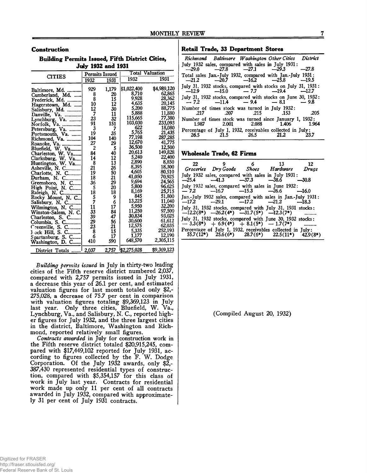#### **Construction**

#### **Building Permits Issued, Fifth District Cities, July 1932 and 1931**

|                      |                | <b>Total Valuation</b><br><b>Permits Issued</b> |             |                    |
|----------------------|----------------|-------------------------------------------------|-------------|--------------------|
| <b>CITIES</b>        | 1932           | 1931                                            | 1932        | 1931               |
| Baltimore, Md.       | 929            | 1,179                                           | \$1,022,400 | \$4,989,120        |
| Cumberland, Md.      | 8              | 20                                              | 8,710       | 62,865             |
| Frederick, Md.       | 8              | 15                                              | 9,928       | 28,362             |
| Hagerstown, Md.      | 10             | 12                                              | 4,635       | 20,145             |
| Salisbury, Md.       | 12             | 30                                              | 5,200       | 88,775             |
| Danville, Va.        | 7              | 11                                              | 5,888       | 11,880             |
| Lynchburg, Va.       | 23             | 32                                              | 115.665     | 77,380             |
| Norfolk, Va.         | 91             | 151                                             | 103,030     | 233,093            |
| Petersburg, Va.      | 3              | 7                                               | 622         | 18,080             |
| Portsmouth, Va.      | 19             | 35                                              | 5,765       | 21,435             |
| Richmond, Va.        | 104            | 140                                             | 77,198      | 287,285            |
| Roanoke, Va.         | 27             | 29                                              | 12,670      | 41,775             |
| Bluefield, W. Va     | 2              | 5                                               | 36,500      | 12,500             |
| Charleston, W. Va    | 84             | 40                                              | 20,613      | 149,828            |
| Clarksburg, W. Va    | 14             | 12                                              | 5,240       | 22,400             |
| Huntington, W. Va    | 8              | 13                                              | 2,890       | 8,850              |
| Asheville, N. C      | 21             | 26                                              | 8,395       | 18,300             |
| Charlotte, N. C      | 19             | 50                                              | 4,605       | 80,510             |
| Durham, N.<br>C      | 18             | 21                                              | 41.050      | 70,925             |
| Greensboro, N. C     | 36             | 29                                              | 9,694       | 24,565             |
| High Point, N. C     | 5              | 20                                              | 5,800       | 96.625             |
| Raleigh, N. C        |                | 18                                              | 8,169       | 25,715             |
| Rocky Mount, N. C    |                | 9                                               | 845         | 51,800             |
| Salisbury, N. C      | $\frac{18}{5}$ | 6                                               | 13,225      | 11,040             |
| Wilmington, N. C     | 11             | 17                                              | 5.950       | 32.200             |
| Winston-Salem, N. C. | 33             | 84                                              | 11.250      | 97.500             |
| Charleston, S. C     | 39             | 47                                              | 30,834      | 93.025             |
| Columbia, S. C       | 29             | 56                                              | 30,600      | 61,612             |
| Creenville, S. C     | 23             | 21                                              | 12,575      | 62,035             |
| 1 ock Hill, S. C     | 8              | 15                                              | 5,335       | 252,193            |
| Spartanburg, S. C    | 6              | 17                                              | 1.177       | 12,190             |
| Washington, D. C     | 410            | 590                                             | 648,570     | 2,305,115          |
| District Totals      | 2,037          | 2,757                                           | \$2,275,028 | <b>\$9,369,123</b> |

*Building permits issued* in July in thirty-two leading cities of the Fifth reserve district numbered 2,037, compared with 2,757 permits issued in July 1931, a decrease this year of 26.1 per cent, and estimated valuation figures for last month totaled only \$2,- 275,028, a decrease of 75.7 per cent in comparison with valuation figures totaling \$9,369,123 in July last year. Only three cities, Bluefield, W. Va., Lynchburg, Va., and Salisbury, N. C., reported higher figures for July 1932, and the three largest cities in the district, Baltimore, Washington and Richmond, reported relatively small figures.

*Contracts awarded* in July for construction work in the Fifth reserve district totaled \$20,915,245, compared with \$17,449,102 reported for July 1931, according to figures collected by the F. W. Dodge Corporation. Of the July 1932 awards, only \$2,- 387,430 represented residential types of construction, compared with \$5,354,157 for this class of work in July last year. Contracts for residential work made up only 11 per cent of all contracts awarded in July 1932, compared with approximately 31 per cent of July 1931 contracts.

# **Retail Trade, 33 Department Stores**

|                    | Richmond Baltimore Washington Other Cities District                                                    |            |
|--------------------|--------------------------------------------------------------------------------------------------------|------------|
|                    | July 1932 sales, compared with sales in July 1931:                                                     |            |
|                    | $-29.0$ $-27.8$ $-27.1$ $-29.3$ $-27.8$                                                                |            |
|                    | Total sales Jan.-July 1932, compared with Jan.-July 1931:<br>$-21.2$ $-20.7$ $-16.2$ $-25.8$ $-19.5$   |            |
|                    | July 31, 1932 stocks, compared with stocks on July 31, 1931:<br>$-12.9$ $-15.0$ $-7.7$ $-19.4$ $-12.7$ |            |
|                    | July 31, 1932 stocks, compared with stocks on June 30, 1932:<br>$-7.2$ $-11.4$ $-9.4$ $-8.1$ $-9.8$    |            |
|                    | Number of times stock was turned in July 1932:                                                         |            |
| 217 .207 .215 .153 |                                                                                                        | $\sim$ 205 |
|                    | Number of times stock was turned since January 1, 1932:                                                |            |
|                    | 1.987 2.001 2.088 1.406 1.964                                                                          |            |
|                    | Percentage of July 1, 1932, receivables collected in July:                                             |            |
|                    | $26.5$ 21.5 26.5 21.2                                                                                  | 23 7       |

#### **Wholesale Trade, 62 Firms**

| 22      | 9 6 13                                                                                                            |  | - 12    |
|---------|-------------------------------------------------------------------------------------------------------------------|--|---------|
|         | Groceries Dry Goods Shoes Hardware Drugs                                                                          |  |         |
| $-25.4$ | July 1932 sales, compared with sales in July 1931:<br>$-41.3 -37.3 -38.6$                                         |  | $-30.8$ |
|         | July 1932 sales, compared with sales in June 1932:<br>$-7.2$ $-16.7$ $-15.3$ $-26.6$ $-16.0$                      |  |         |
|         | Jan.-July 1932 sales, compared with sales in Jan.-July 1931:<br>$-172$ $-29.1$ $-17.2$ $-21.2$ $-18.3$            |  |         |
|         | July 31, 1932 stocks, compared with July 31, 1931 stocks:<br>$-12.2(8^*)$ $-26.2(4^*)$ $-31.7(5^*)$ $-12.3(7^*)$  |  |         |
|         | July 31, 1932 stocks, compared with June 30, 1932 stocks;<br>$-3.3(8^*)$ + 6.9(4*) + 8.1(5*) - 1.7(7*) - -------- |  |         |
|         | Percentage of July 1, 1932, receivables collected in July:<br>55.7(12*) 25.6(6*) 28.7(6*) 22.5(11*) 42.9(8*)      |  |         |
|         |                                                                                                                   |  |         |

(Compiled August 20, 1932)